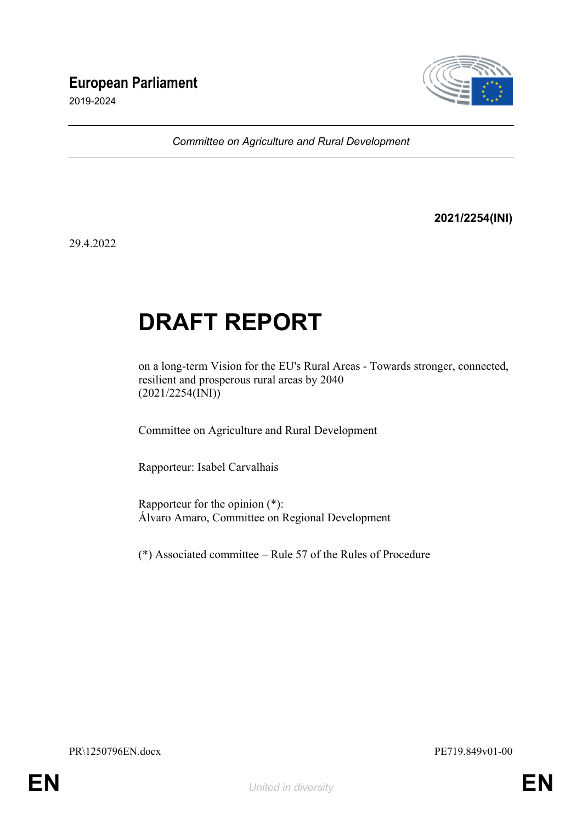# **European Parliament**

2019-2024



*Committee on Agriculture and Rural Development*

**2021/2254(INI)**

29.4.2022

# **DRAFT REPORT**

on a long-term Vision for the EU's Rural Areas - Towards stronger, connected, resilient and prosperous rural areas by 2040 (2021/2254(INI))

Committee on Agriculture and Rural Development

Rapporteur: Isabel Carvalhais

Rapporteur for the opinion (\*): Álvaro Amaro, Committee on Regional Development

(\*) Associated committee – Rule 57 of the Rules of Procedure

PR\1250796EN.docx PE719.849v01-00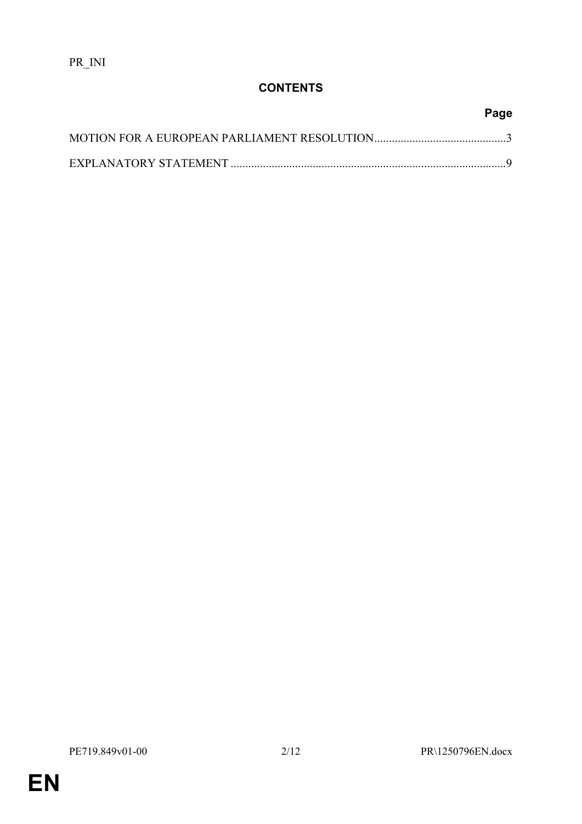# **CONTENTS**

# **Page**

**EN**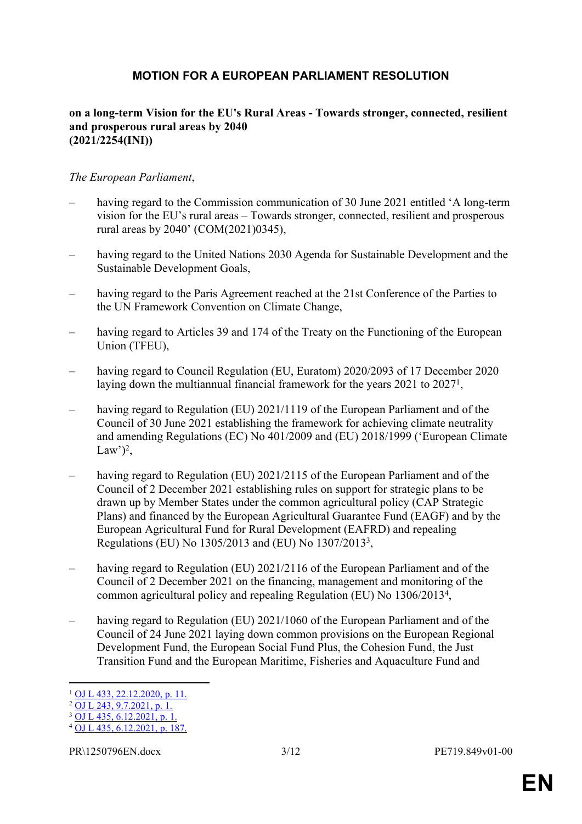## <span id="page-2-0"></span>**MOTION FOR A EUROPEAN PARLIAMENT RESOLUTION**

#### **on a long-term Vision for the EU's Rural Areas - Towards stronger, connected, resilient and prosperous rural areas by 2040 (2021/2254(INI))**

#### *The European Parliament*,

- having regard to the Commission communication of 30 June 2021 entitled 'A long-term vision for the EU's rural areas – Towards stronger, connected, resilient and prosperous rural areas by 2040' (COM(2021)0345),
- having regard to the United Nations 2030 Agenda for Sustainable Development and the Sustainable Development Goals,
- having regard to the Paris Agreement reached at the 21st Conference of the Parties to the UN Framework Convention on Climate Change,
- having regard to Articles 39 and 174 of the Treaty on the Functioning of the European Union (TFEU),
- having regard to Council Regulation (EU, Euratom) 2020/2093 of 17 December 2020 laying down the multiannual financial framework for the years 2021 to 2027<sup>1</sup>,
- having regard to Regulation (EU) 2021/1119 of the European Parliament and of the Council of 30 June 2021 establishing the framework for achieving climate neutrality and amending Regulations (EC) No 401/2009 and (EU) 2018/1999 ('European Climate Law')<sup>2</sup>,
- having regard to Regulation (EU) 2021/2115 of the European Parliament and of the Council of 2 December 2021 establishing rules on support for strategic plans to be drawn up by Member States under the common agricultural policy (CAP Strategic Plans) and financed by the European Agricultural Guarantee Fund (EAGF) and by the European Agricultural Fund for Rural Development (EAFRD) and repealing Regulations (EU) No 1305/2013 and (EU) No 1307/2013<sup>3</sup> ,
- having regard to Regulation (EU) 2021/2116 of the European Parliament and of the Council of 2 December 2021 on the financing, management and monitoring of the common agricultural policy and repealing Regulation (EU) No 1306/2013<sup>4</sup> ,
- having regard to Regulation (EU) 2021/1060 of the European Parliament and of the Council of 24 June 2021 laying down common provisions on the European Regional Development Fund, the European Social Fund Plus, the Cohesion Fund, the Just Transition Fund and the European Maritime, Fisheries and Aquaculture Fund and

<sup>1</sup> [OJ L 433, 22.12.2020, p. 11.](http://data.europa.eu/eli/reg/2020/2093/oj)

 $^{2}$  [OJ L 243, 9.7.2021, p. 1.](http://data.europa.eu/eli/reg/2021/1119/oj)

 $3$  [OJ L 435, 6.12.2021, p. 1.](http://data.europa.eu/eli/reg/2021/2115/oj)

<sup>4</sup> [OJ L 435, 6.12.2021, p. 187.](http://data.europa.eu/eli/reg/2021/2116/oj)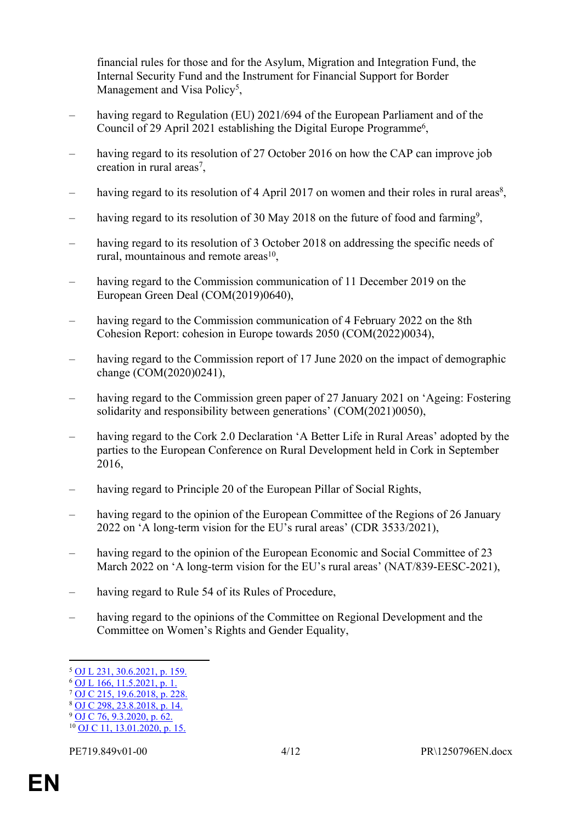financial rules for those and for the Asylum, Migration and Integration Fund, the Internal Security Fund and the Instrument for Financial Support for Border Management and Visa Policy<sup>5</sup>,

- having regard to Regulation (EU) 2021/694 of the European Parliament and of the Council of 29 April 2021 establishing the Digital Europe Programme<sup>6</sup>,
- having regard to its resolution of 27 October 2016 on how the CAP can improve job creation in rural areas<sup>7</sup>,
- having regard to its resolution of 4 April 2017 on women and their roles in rural areas<sup>8</sup>,
- having regard to its resolution of 30 May 2018 on the future of food and farming<sup>9</sup>,
- having regard to its resolution of 3 October 2018 on addressing the specific needs of rural, mountainous and remote areas<sup>10</sup>,
- having regard to the Commission communication of 11 December 2019 on the European Green Deal (COM(2019)0640),
- having regard to the Commission communication of 4 February 2022 on the 8th Cohesion Report: cohesion in Europe towards 2050 (COM(2022)0034),
- having regard to the Commission report of 17 June 2020 on the impact of demographic change (COM(2020)0241),
- having regard to the Commission green paper of 27 January 2021 on 'Ageing: Fostering solidarity and responsibility between generations' (COM(2021)0050),
- having regard to the Cork 2.0 Declaration 'A Better Life in Rural Areas' adopted by the parties to the European Conference on Rural Development held in Cork in September 2016,
- having regard to Principle 20 of the European Pillar of Social Rights,
- having regard to the opinion of the European Committee of the Regions of 26 January 2022 on 'A long-term vision for the EU's rural areas' (CDR 3533/2021),
- having regard to the opinion of the European Economic and Social Committee of 23 March 2022 on 'A long-term vision for the EU's rural areas' (NAT/839-EESC-2021),
- having regard to Rule 54 of its Rules of Procedure,
- having regard to the opinions of the Committee on Regional Development and the Committee on Women's Rights and Gender Equality,

<sup>5</sup> [OJ L 231, 30.6.2021, p. 159.](http://data.europa.eu/eli/reg/2021/1060/oj)

<sup>6</sup> [OJ L 166, 11.5.2021, p. 1.](http://data.europa.eu/eli/reg/2021/694/oj)

<sup>7</sup> [OJ C 215, 19.6.2018, p. 228.](https://eur-lex.europa.eu/legal-content/EN/TXT/?uri=uriserv:OJ.C_.2018.215.01.0228.01.ENG)

 $8$  [OJ C 298, 23.8.2018, p. 14.](https://eur-lex.europa.eu/legal-content/EN/TXT/?uri=uriserv:OJ.C_.2018.298.01.0014.01.ENG)

 $9$  [OJ C 76, 9.3.2020, p. 62.](https://eur-lex.europa.eu/legal-content/EN/TXT/?uri=CELEX:52018IP0224)

 $10$  [OJ C 11, 13.01.2020, p. 15.](https://eur-lex.europa.eu/legal-content/EN/TXT/?uri=uriserv:OJ.C_.2020.011.01.0015.01.ENG)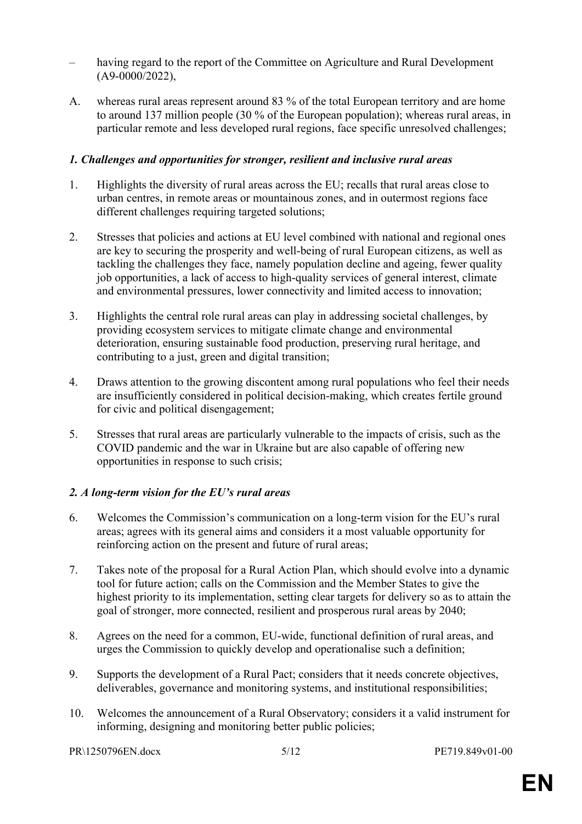- having regard to the report of the Committee on Agriculture and Rural Development (A9-0000/2022),
- A. whereas rural areas represent around 83 % of the total European territory and are home to around 137 million people (30 % of the European population); whereas rural areas, in particular remote and less developed rural regions, face specific unresolved challenges;

### *1. Challenges and opportunities for stronger, resilient and inclusive rural areas*

- 1. Highlights the diversity of rural areas across the EU; recalls that rural areas close to urban centres, in remote areas or mountainous zones, and in outermost regions face different challenges requiring targeted solutions;
- 2. Stresses that policies and actions at EU level combined with national and regional ones are key to securing the prosperity and well-being of rural European citizens, as well as tackling the challenges they face, namely population decline and ageing, fewer quality job opportunities, a lack of access to high-quality services of general interest, climate and environmental pressures, lower connectivity and limited access to innovation;
- 3. Highlights the central role rural areas can play in addressing societal challenges, by providing ecosystem services to mitigate climate change and environmental deterioration, ensuring sustainable food production, preserving rural heritage, and contributing to a just, green and digital transition;
- 4. Draws attention to the growing discontent among rural populations who feel their needs are insufficiently considered in political decision-making, which creates fertile ground for civic and political disengagement;
- 5. Stresses that rural areas are particularly vulnerable to the impacts of crisis, such as the COVID pandemic and the war in Ukraine but are also capable of offering new opportunities in response to such crisis;

## *2. A long-term vision for the EU's rural areas*

- 6. Welcomes the Commission's communication on a long-term vision for the EU's rural areas; agrees with its general aims and considers it a most valuable opportunity for reinforcing action on the present and future of rural areas;
- 7. Takes note of the proposal for a Rural Action Plan, which should evolve into a dynamic tool for future action; calls on the Commission and the Member States to give the highest priority to its implementation, setting clear targets for delivery so as to attain the goal of stronger, more connected, resilient and prosperous rural areas by 2040;
- 8. Agrees on the need for a common, EU-wide, functional definition of rural areas, and urges the Commission to quickly develop and operationalise such a definition;
- 9. Supports the development of a Rural Pact; considers that it needs concrete objectives, deliverables, governance and monitoring systems, and institutional responsibilities;
- 10. Welcomes the announcement of a Rural Observatory; considers it a valid instrument for informing, designing and monitoring better public policies;

```
PR\1250796EN.docx 5/12 PE719.849v01-00
```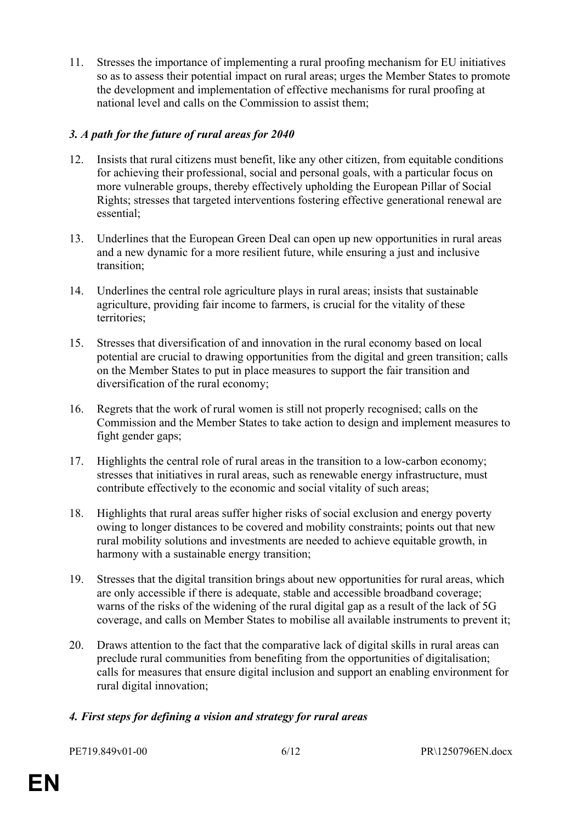11. Stresses the importance of implementing a rural proofing mechanism for EU initiatives so as to assess their potential impact on rural areas; urges the Member States to promote the development and implementation of effective mechanisms for rural proofing at national level and calls on the Commission to assist them;

## *3. A path for the future of rural areas for 2040*

- 12. Insists that rural citizens must benefit, like any other citizen, from equitable conditions for achieving their professional, social and personal goals, with a particular focus on more vulnerable groups, thereby effectively upholding the European Pillar of Social Rights; stresses that targeted interventions fostering effective generational renewal are essential;
- 13. Underlines that the European Green Deal can open up new opportunities in rural areas and a new dynamic for a more resilient future, while ensuring a just and inclusive transition;
- 14. Underlines the central role agriculture plays in rural areas; insists that sustainable agriculture, providing fair income to farmers, is crucial for the vitality of these territories;
- 15. Stresses that diversification of and innovation in the rural economy based on local potential are crucial to drawing opportunities from the digital and green transition; calls on the Member States to put in place measures to support the fair transition and diversification of the rural economy;
- 16. Regrets that the work of rural women is still not properly recognised; calls on the Commission and the Member States to take action to design and implement measures to fight gender gaps;
- 17. Highlights the central role of rural areas in the transition to a low-carbon economy; stresses that initiatives in rural areas, such as renewable energy infrastructure, must contribute effectively to the economic and social vitality of such areas;
- 18. Highlights that rural areas suffer higher risks of social exclusion and energy poverty owing to longer distances to be covered and mobility constraints; points out that new rural mobility solutions and investments are needed to achieve equitable growth, in harmony with a sustainable energy transition:
- 19. Stresses that the digital transition brings about new opportunities for rural areas, which are only accessible if there is adequate, stable and accessible broadband coverage; warns of the risks of the widening of the rural digital gap as a result of the lack of 5G coverage, and calls on Member States to mobilise all available instruments to prevent it;
- 20. Draws attention to the fact that the comparative lack of digital skills in rural areas can preclude rural communities from benefiting from the opportunities of digitalisation; calls for measures that ensure digital inclusion and support an enabling environment for rural digital innovation;

#### *4. First steps for defining a vision and strategy for rural areas*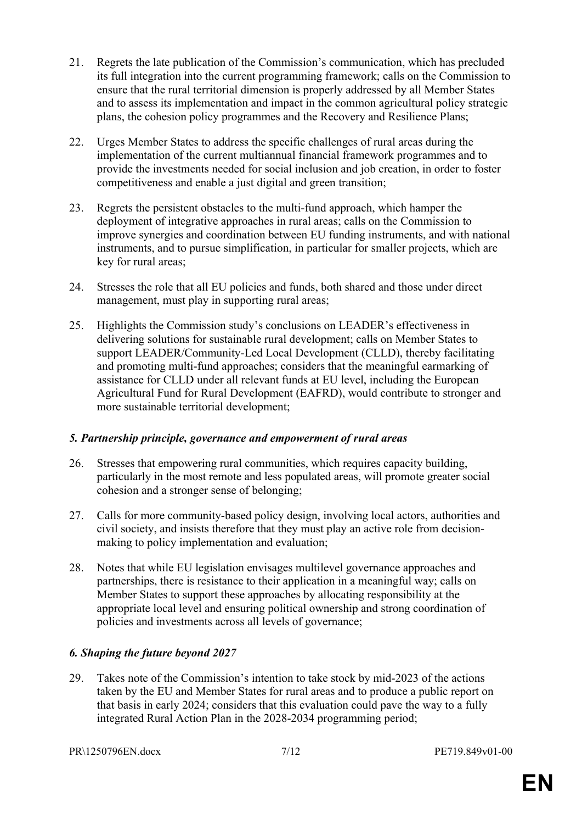- 21. Regrets the late publication of the Commission's communication, which has precluded its full integration into the current programming framework; calls on the Commission to ensure that the rural territorial dimension is properly addressed by all Member States and to assess its implementation and impact in the common agricultural policy strategic plans, the cohesion policy programmes and the Recovery and Resilience Plans;
- 22. Urges Member States to address the specific challenges of rural areas during the implementation of the current multiannual financial framework programmes and to provide the investments needed for social inclusion and job creation, in order to foster competitiveness and enable a just digital and green transition;
- 23. Regrets the persistent obstacles to the multi-fund approach, which hamper the deployment of integrative approaches in rural areas; calls on the Commission to improve synergies and coordination between EU funding instruments, and with national instruments, and to pursue simplification, in particular for smaller projects, which are key for rural areas;
- 24. Stresses the role that all EU policies and funds, both shared and those under direct management, must play in supporting rural areas;
- 25. Highlights the Commission study's conclusions on LEADER's effectiveness in delivering solutions for sustainable rural development; calls on Member States to support LEADER/Community-Led Local Development (CLLD), thereby facilitating and promoting multi-fund approaches; considers that the meaningful earmarking of assistance for CLLD under all relevant funds at EU level, including the European Agricultural Fund for Rural Development (EAFRD), would contribute to stronger and more sustainable territorial development;

#### *5. Partnership principle, governance and empowerment of rural areas*

- 26. Stresses that empowering rural communities, which requires capacity building, particularly in the most remote and less populated areas, will promote greater social cohesion and a stronger sense of belonging;
- 27. Calls for more community-based policy design, involving local actors, authorities and civil society, and insists therefore that they must play an active role from decisionmaking to policy implementation and evaluation;
- 28. Notes that while EU legislation envisages multilevel governance approaches and partnerships, there is resistance to their application in a meaningful way; calls on Member States to support these approaches by allocating responsibility at the appropriate local level and ensuring political ownership and strong coordination of policies and investments across all levels of governance;

## *6. Shaping the future beyond 2027*

29. Takes note of the Commission's intention to take stock by mid-2023 of the actions taken by the EU and Member States for rural areas and to produce a public report on that basis in early 2024; considers that this evaluation could pave the way to a fully integrated Rural Action Plan in the 2028-2034 programming period;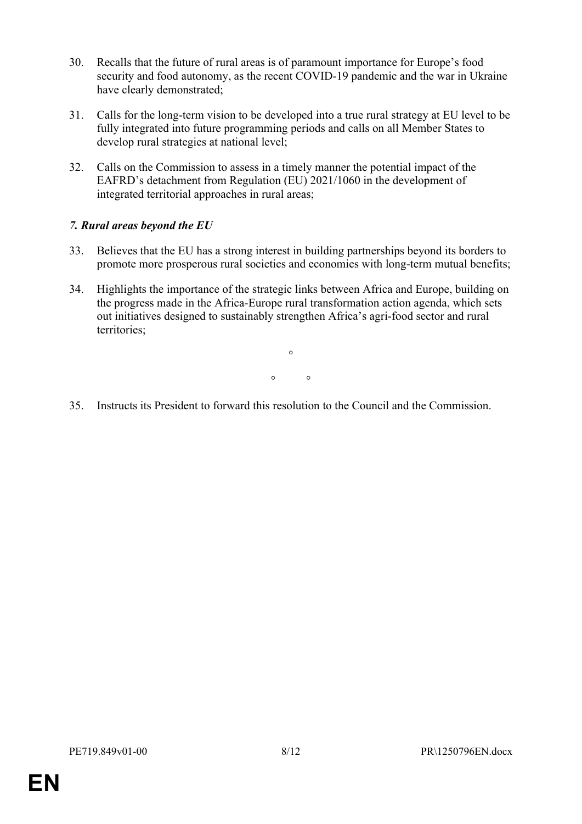- 30. Recalls that the future of rural areas is of paramount importance for Europe's food security and food autonomy, as the recent COVID-19 pandemic and the war in Ukraine have clearly demonstrated;
- 31. Calls for the long-term vision to be developed into a true rural strategy at EU level to be fully integrated into future programming periods and calls on all Member States to develop rural strategies at national level;
- 32. Calls on the Commission to assess in a timely manner the potential impact of the EAFRD's detachment from Regulation (EU) 2021/1060 in the development of integrated territorial approaches in rural areas;

### *7. Rural areas beyond the EU*

- 33. Believes that the EU has a strong interest in building partnerships beyond its borders to promote more prosperous rural societies and economies with long-term mutual benefits;
- 34. Highlights the importance of the strategic links between Africa and Europe, building on the progress made in the Africa-Europe rural transformation action agenda, which sets out initiatives designed to sustainably strengthen Africa's agri-food sector and rural territories;

 $\circ$  $\circ$   $\circ$ 

35. Instructs its President to forward this resolution to the Council and the Commission.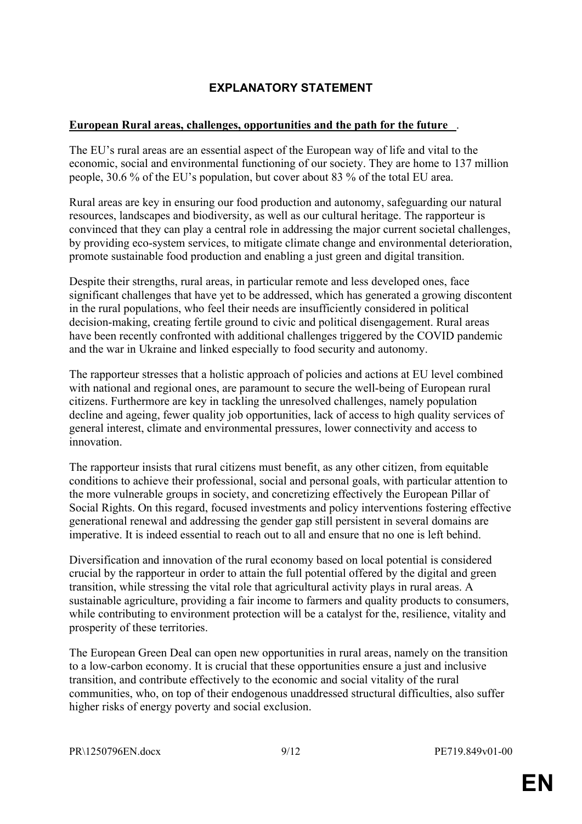# <span id="page-8-0"></span>**EXPLANATORY STATEMENT**

### **European Rural areas, challenges, opportunities and the path for the future** .

The EU's rural areas are an essential aspect of the European way of life and vital to the economic, social and environmental functioning of our society. They are home to 137 million people, 30.6 % of the EU's population, but cover about 83 % of the total EU area.

Rural areas are key in ensuring our food production and autonomy, safeguarding our natural resources, landscapes and biodiversity, as well as our cultural heritage. The rapporteur is convinced that they can play a central role in addressing the major current societal challenges, by providing eco-system services, to mitigate climate change and environmental deterioration, promote sustainable food production and enabling a just green and digital transition.

Despite their strengths, rural areas, in particular remote and less developed ones, face significant challenges that have yet to be addressed, which has generated a growing discontent in the rural populations, who feel their needs are insufficiently considered in political decision-making, creating fertile ground to civic and political disengagement. Rural areas have been recently confronted with additional challenges triggered by the COVID pandemic and the war in Ukraine and linked especially to food security and autonomy.

The rapporteur stresses that a holistic approach of policies and actions at EU level combined with national and regional ones, are paramount to secure the well-being of European rural citizens. Furthermore are key in tackling the unresolved challenges, namely population decline and ageing, fewer quality job opportunities, lack of access to high quality services of general interest, climate and environmental pressures, lower connectivity and access to innovation.

The rapporteur insists that rural citizens must benefit, as any other citizen, from equitable conditions to achieve their professional, social and personal goals, with particular attention to the more vulnerable groups in society, and concretizing effectively the European Pillar of Social Rights. On this regard, focused investments and policy interventions fostering effective generational renewal and addressing the gender gap still persistent in several domains are imperative. It is indeed essential to reach out to all and ensure that no one is left behind.

Diversification and innovation of the rural economy based on local potential is considered crucial by the rapporteur in order to attain the full potential offered by the digital and green transition, while stressing the vital role that agricultural activity plays in rural areas. A sustainable agriculture, providing a fair income to farmers and quality products to consumers, while contributing to environment protection will be a catalyst for the, resilience, vitality and prosperity of these territories.

The European Green Deal can open new opportunities in rural areas, namely on the transition to a low-carbon economy. It is crucial that these opportunities ensure a just and inclusive transition, and contribute effectively to the economic and social vitality of the rural communities, who, on top of their endogenous unaddressed structural difficulties, also suffer higher risks of energy poverty and social exclusion.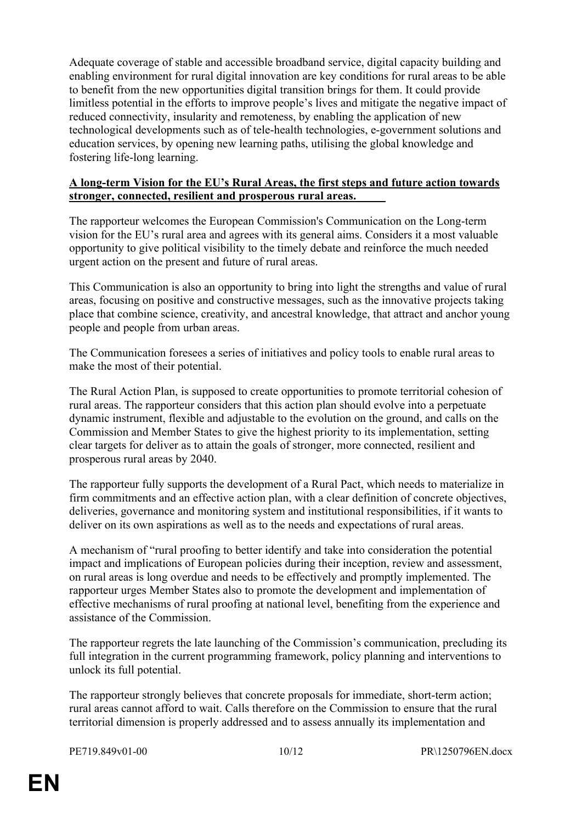Adequate coverage of stable and accessible broadband service, digital capacity building and enabling environment for rural digital innovation are key conditions for rural areas to be able to benefit from the new opportunities digital transition brings for them. It could provide limitless potential in the efforts to improve people's lives and mitigate the negative impact of reduced connectivity, insularity and remoteness, by enabling the application of new technological developments such as of tele-health technologies, e-government solutions and education services, by opening new learning paths, utilising the global knowledge and fostering life-long learning.

#### **A long-term Vision for the EU's Rural Areas, the first steps and future action towards stronger, connected, resilient and prosperous rural areas.**

The rapporteur welcomes the European Commission's Communication on the Long-term vision for the EU's rural area and agrees with its general aims. Considers it a most valuable opportunity to give political visibility to the timely debate and reinforce the much needed urgent action on the present and future of rural areas.

This Communication is also an opportunity to bring into light the strengths and value of rural areas, focusing on positive and constructive messages, such as the innovative projects taking place that combine science, creativity, and ancestral knowledge, that attract and anchor young people and people from urban areas.

The Communication foresees a series of initiatives and policy tools to enable rural areas to make the most of their potential.

The Rural Action Plan, is supposed to create opportunities to promote territorial cohesion of rural areas. The rapporteur considers that this action plan should evolve into a perpetuate dynamic instrument, flexible and adjustable to the evolution on the ground, and calls on the Commission and Member States to give the highest priority to its implementation, setting clear targets for deliver as to attain the goals of stronger, more connected, resilient and prosperous rural areas by 2040.

The rapporteur fully supports the development of a Rural Pact, which needs to materialize in firm commitments and an effective action plan, with a clear definition of concrete objectives, deliveries, governance and monitoring system and institutional responsibilities, if it wants to deliver on its own aspirations as well as to the needs and expectations of rural areas.

A mechanism of "rural proofing to better identify and take into consideration the potential impact and implications of European policies during their inception, review and assessment, on rural areas is long overdue and needs to be effectively and promptly implemented. The rapporteur urges Member States also to promote the development and implementation of effective mechanisms of rural proofing at national level, benefiting from the experience and assistance of the Commission.

The rapporteur regrets the late launching of the Commission's communication, precluding its full integration in the current programming framework, policy planning and interventions to unlock its full potential.

The rapporteur strongly believes that concrete proposals for immediate, short-term action; rural areas cannot afford to wait. Calls therefore on the Commission to ensure that the rural territorial dimension is properly addressed and to assess annually its implementation and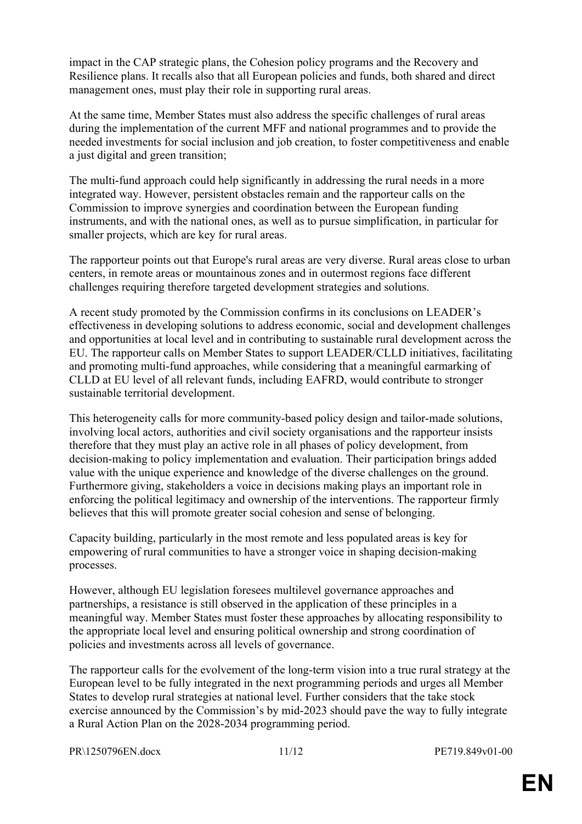impact in the CAP strategic plans, the Cohesion policy programs and the Recovery and Resilience plans. It recalls also that all European policies and funds, both shared and direct management ones, must play their role in supporting rural areas.

At the same time, Member States must also address the specific challenges of rural areas during the implementation of the current MFF and national programmes and to provide the needed investments for social inclusion and job creation, to foster competitiveness and enable a just digital and green transition;

The multi-fund approach could help significantly in addressing the rural needs in a more integrated way. However, persistent obstacles remain and the rapporteur calls on the Commission to improve synergies and coordination between the European funding instruments, and with the national ones, as well as to pursue simplification, in particular for smaller projects, which are key for rural areas.

The rapporteur points out that Europe's rural areas are very diverse. Rural areas close to urban centers, in remote areas or mountainous zones and in outermost regions face different challenges requiring therefore targeted development strategies and solutions.

A recent study promoted by the Commission confirms in its conclusions on LEADER's effectiveness in developing solutions to address economic, social and development challenges and opportunities at local level and in contributing to sustainable rural development across the EU. The rapporteur calls on Member States to support LEADER/CLLD initiatives, facilitating and promoting multi-fund approaches, while considering that a meaningful earmarking of CLLD at EU level of all relevant funds, including EAFRD, would contribute to stronger sustainable territorial development.

This heterogeneity calls for more community-based policy design and tailor-made solutions, involving local actors, authorities and civil society organisations and the rapporteur insists therefore that they must play an active role in all phases of policy development, from decision-making to policy implementation and evaluation. Their participation brings added value with the unique experience and knowledge of the diverse challenges on the ground. Furthermore giving, stakeholders a voice in decisions making plays an important role in enforcing the political legitimacy and ownership of the interventions. The rapporteur firmly believes that this will promote greater social cohesion and sense of belonging.

Capacity building, particularly in the most remote and less populated areas is key for empowering of rural communities to have a stronger voice in shaping decision-making processes.

However, although EU legislation foresees multilevel governance approaches and partnerships, a resistance is still observed in the application of these principles in a meaningful way. Member States must foster these approaches by allocating responsibility to the appropriate local level and ensuring political ownership and strong coordination of policies and investments across all levels of governance.

The rapporteur calls for the evolvement of the long-term vision into a true rural strategy at the European level to be fully integrated in the next programming periods and urges all Member States to develop rural strategies at national level. Further considers that the take stock exercise announced by the Commission's by mid-2023 should pave the way to fully integrate a Rural Action Plan on the 2028-2034 programming period.

PR\1250796EN.docx 11/12 PE719.849v01-00